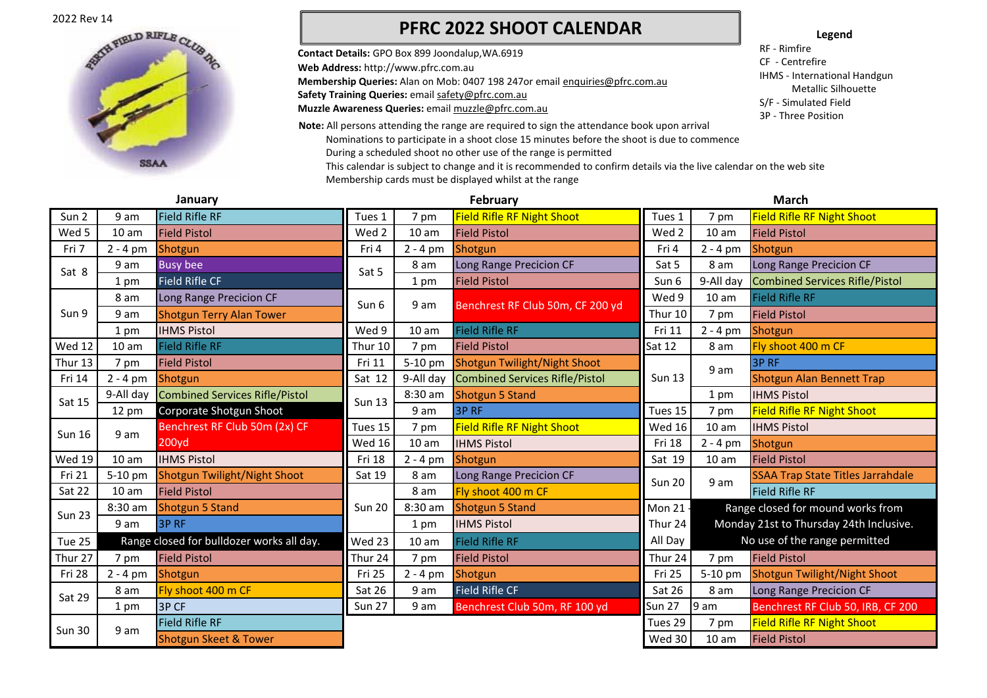2022 Rev 14



## **PFRC 2022 SHOOT CALENDAR**

**Contact Details:** GPO Box 899 Joondalup,WA.6919 **Web Address:** http://www.pfrc.com.au **Membership Queries:** Alan on Mob: 0407 198 247or email enquiries@pfrc.com.au Safety Training Queries: email safety@pfrc.com.au **Muzzle Awareness Queries:** email muzzle@pfrc.com.au **Note:** All persons attending the range are required to sign the attendance book upon arrival **Legend**

RF - Rimfire CF - Centrefire

IHMS - International Handgun Metallic Silhouette

S/F - Simulated Field

3P - Three Position

Nominations to participate in a shoot close 15 minutes before the shoot is due to commence During a scheduled shoot no other use of the range is permitted This calendar is subject to change and it is recommended to confirm details via the live calendar on the web site Membership cards must be displayed whilst at the range

| January       |                  |                                           | February      |                  |                                       | <b>March</b>  |                                         |                                          |
|---------------|------------------|-------------------------------------------|---------------|------------------|---------------------------------------|---------------|-----------------------------------------|------------------------------------------|
| Sun 2         | 9 am             | <b>Field Rifle RF</b>                     | Tues 1        | 7 pm             | <b>Field Rifle RF Night Shoot</b>     | Tues 1        | 7 pm                                    | <b>Field Rifle RF Night Shoot</b>        |
| Wed 5         | 10 <sub>am</sub> | <b>Field Pistol</b>                       | Wed 2         | 10 <sub>am</sub> | <b>Field Pistol</b>                   | Wed 2         | 10 <sub>am</sub>                        | <b>Field Pistol</b>                      |
| Fri 7         | $2 - 4 pm$       | Shotgun                                   | Fri 4         | $2 - 4 pm$       | Shotgun                               | Fri 4         | $2 - 4 pm$                              | Shotgun                                  |
| Sat 8         | 9 am             | <b>Busy bee</b>                           | Sat 5         | 8 am             | Long Range Precicion CF               | Sat 5         | 8 am                                    | Long Range Precicion CF                  |
|               | 1 pm             | <b>Field Rifle CF</b>                     |               | 1 pm             | <b>Field Pistol</b>                   | Sun 6         | 9-All day                               | <b>Combined Services Rifle/Pistol</b>    |
|               | 8 am             | Long Range Precicion CF                   | Sun 6         | 9 am             | Benchrest RF Club 50m, CF 200 yd      | Wed 9         | 10 <sub>am</sub>                        | <b>Field Rifle RF</b>                    |
| Sun 9         | 9 am             | <b>Shotgun Terry Alan Tower</b>           |               |                  |                                       | Thur 10       | 7 pm                                    | <b>Field Pistol</b>                      |
|               | 1 pm             | <b>IHMS Pistol</b>                        | Wed 9         | 10 <sub>am</sub> | <b>Field Rifle RF</b>                 | Fri 11        | $2 - 4 pm$                              | Shotgun                                  |
| <b>Wed 12</b> | 10 <sub>am</sub> | <b>Field Rifle RF</b>                     | Thur 10       | 7 pm             | <b>Field Pistol</b>                   | <b>Sat 12</b> | 8 am                                    | Fly shoot 400 m CF                       |
| Thur 13       | 7 pm             | <b>Field Pistol</b>                       | Fri 11        | 5-10 pm          | Shotgun Twilight/Night Shoot          |               | 9 am                                    | 3P RF                                    |
| Fri 14        | $2 - 4$ pm       | Shotgun                                   | Sat 12        | 9-All day        | <b>Combined Services Rifle/Pistol</b> | <b>Sun 13</b> |                                         | Shotgun Alan Bennett Trap                |
| Sat 15        | 9-All day        | <b>Combined Services Rifle/Pistol</b>     | <b>Sun 13</b> | 8:30 am          | <b>Shotgun 5 Stand</b>                |               | 1 pm                                    | <b>IHMS Pistol</b>                       |
|               | 12 pm            | Corporate Shotgun Shoot                   |               | 9 am             | <b>3PRF</b>                           | Tues 15       | 7 pm                                    | <b>Field Rifle RF Night Shoot</b>        |
| <b>Sun 16</b> | 9 am             | Benchrest RF Club 50m (2x) CF             | Tues 15       | 7 pm             | <b>Field Rifle RF Night Shoot</b>     | <b>Wed 16</b> | 10 <sub>am</sub>                        | <b>IHMS Pistol</b>                       |
|               |                  | 200yd                                     | Wed 16        | 10 <sub>am</sub> | <b>IHMS Pistol</b>                    | Fri 18        | $2 - 4$ pm                              | Shotgun                                  |
| <b>Wed 19</b> | 10 <sub>am</sub> | <b>IHMS Pistol</b>                        | Fri 18        | $2 - 4 pm$       | Shotgun                               | Sat 19        | 10 <sub>am</sub>                        | <b>Field Pistol</b>                      |
| Fri 21        | 5-10 pm          | Shotgun Twilight/Night Shoot              | Sat 19        | 8 am             | Long Range Precicion CF               | <b>Sun 20</b> | 9 am                                    | <b>SSAA Trap State Titles Jarrahdale</b> |
| Sat 22        | 10 <sub>am</sub> | <b>Field Pistol</b>                       |               | 8 am             | Fly shoot 400 m CF                    |               |                                         | <b>Field Rifle RF</b>                    |
| <b>Sun 23</b> | 8:30 am          | <b>Shotgun 5 Stand</b>                    | <b>Sun 20</b> | 8:30 am          | <b>Shotgun 5 Stand</b>                | Mon 21        |                                         | Range closed for mound works from        |
|               | 9 am             | 3P RF                                     |               | 1 pm             | <b>IHMS Pistol</b>                    | Thur 24       | Monday 21st to Thursday 24th Inclusive. |                                          |
| Tue 25        |                  | Range closed for bulldozer works all day. | Wed 23        | 10 <sub>am</sub> | <b>Field Rifle RF</b>                 | All Day       | No use of the range permitted           |                                          |
| Thur 27       | 7 pm             | <b>Field Pistol</b>                       | Thur 24       | 7 pm             | <b>Field Pistol</b>                   | Thur 24       | 7 pm                                    | <b>Field Pistol</b>                      |
| Fri 28        | $2 - 4$ pm       | Shotgun                                   | Fri 25        | $2 - 4$ pm       | Shotgun                               | Fri 25        | 5-10 pm                                 | <b>Shotgun Twilight/Night Shoot</b>      |
| Sat 29        | 8 am             | Fly shoot 400 m CF                        | Sat 26        | 9 am             | <b>Field Rifle CF</b>                 | Sat 26        | 8 am                                    | Long Range Precicion CF                  |
|               | 1 pm             | 3P CF                                     | <b>Sun 27</b> | 9 am             | Benchrest Club 50m, RF 100 yd         | <b>Sun 27</b> | 9 am                                    | Benchrest RF Club 50, IRB, CF 200        |
| <b>Sun 30</b> |                  | <b>Field Rifle RF</b>                     |               |                  |                                       | Tues 29       | 7 pm                                    | <b>Field Rifle RF Night Shoot</b>        |
|               | 9 am             | <b>Shotgun Skeet &amp; Tower</b>          |               |                  |                                       | Wed 30        | 10 <sub>am</sub>                        | <b>Field Pistol</b>                      |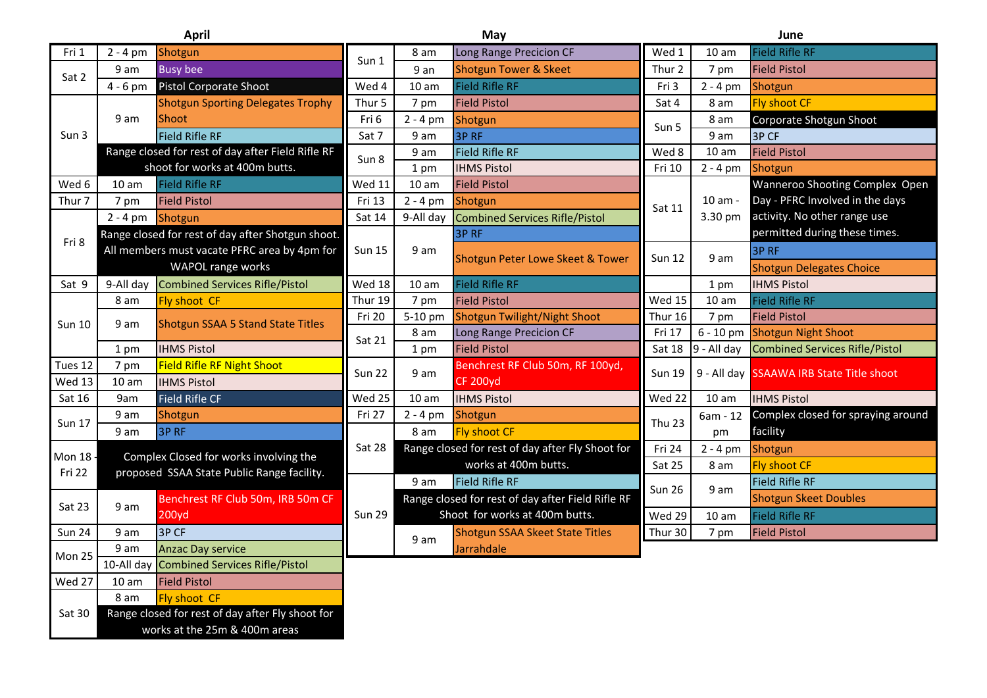**April**

8 am Fly shoot CF

Sat 30 Range closed for rest of day after Fly shoot for

works at the 25m & 400m areas

| April         |                                              | May                                               |                  |                  | June                                              |                   |                  |                                          |
|---------------|----------------------------------------------|---------------------------------------------------|------------------|------------------|---------------------------------------------------|-------------------|------------------|------------------------------------------|
| Fri 1         | $2 - 4$ pm                                   | Shotgun                                           | Sun 1            | 8 am             | Long Range Precicion CF                           | Wed 1             | 10 <sub>am</sub> | <b>Field Rifle RF</b>                    |
| Sat 2         | 9 am                                         | <b>Busy bee</b>                                   |                  | 9 an             | <b>Shotgun Tower &amp; Skeet</b>                  | Thur 2            | 7 pm             | <b>Field Pistol</b>                      |
|               | $4 - 6$ pm                                   | Pistol Corporate Shoot                            | Wed 4            | 10 <sub>am</sub> | <b>Field Rifle RF</b>                             | Fri 3             | $2 - 4 pm$       | Shotgun                                  |
|               | 9 am                                         | <b>Shotgun Sporting Delegates Trophy</b>          | Thur 5           | 7 pm             | <b>Field Pistol</b>                               | Sat 4             | 8 am             | <b>Fly shoot CF</b>                      |
|               |                                              | Shoot                                             | Fri 6            | $2 - 4 pm$       | Shotgun                                           | Sun 5             | 8 am             | Corporate Shotgun Shoot                  |
| Sun 3         |                                              | <b>Field Rifle RF</b>                             | Sat 7            | 9 am             | 3P RF                                             |                   | 9 am             | 3P CF                                    |
|               |                                              | Range closed for rest of day after Field Rifle RF | Sun 8            | 9 am             | <b>Field Rifle RF</b>                             | Wed 8             | 10 <sub>am</sub> | <b>Field Pistol</b>                      |
|               | shoot for works at 400m butts.               |                                                   |                  | 1 pm             | <b>IHMS Pistol</b>                                | Fri 10            | $2 - 4 pm$       | Shotgun                                  |
| Wed 6         | 10 am                                        | <b>Field Rifle RF</b>                             | <b>Wed 11</b>    | 10 <sub>am</sub> | <b>Field Pistol</b>                               |                   |                  | Wanneroo Shooting Complex Open           |
| Thur 7        | 7 pm                                         | <b>Field Pistol</b>                               | Fri 13           | $2 - 4$ pm       | Shotgun                                           | Sat 11            | 10 am -          | Day - PFRC Involved in the days          |
|               | $2 - 4$ pm                                   | Shotgun                                           | Sat 14           | 9-All day        | <b>Combined Services Rifle/Pistol</b>             |                   | 3.30 pm          | activity. No other range use             |
| Fri 8         |                                              | Range closed for rest of day after Shotgun shoot. |                  |                  | 3P <sub>RF</sub>                                  |                   |                  | permitted during these times.            |
|               | All members must vacate PFRC area by 4pm for |                                                   | <b>Sun 15</b>    | 9 am             | Shotgun Peter Lowe Skeet & Tower                  | <b>Sun 12</b>     | 9 am             | 3P <sub>RF</sub>                         |
|               | WAPOL range works                            |                                                   |                  |                  |                                                   |                   |                  | <b>Shotgun Delegates Choice</b>          |
| Sat 9         | 9-All day                                    | <b>Combined Services Rifle/Pistol</b>             | Wed 18           | 10 <sub>am</sub> | <b>Field Rifle RF</b>                             |                   | 1 pm             | <b>IHMS Pistol</b>                       |
| <b>Sun 10</b> | 8 am                                         | Fly shoot CF                                      | Thur 19          | 7 pm             | <b>Field Pistol</b>                               | Wed 15            | 10 <sub>am</sub> | <b>Field Rifle RF</b>                    |
|               | 9 am                                         | <b>Shotgun SSAA 5 Stand State Titles</b>          | Fri 20<br>Sat 21 | 5-10 pm          | Shotgun Twilight/Night Shoot                      | Thur 16           | 7 pm             | <b>Field Pistol</b>                      |
|               |                                              |                                                   |                  | 8 am             | Long Range Precicion CF                           | Fri 17            | 6 - 10 pm        | <b>Shotgun Night Shoot</b>               |
|               | 1 pm                                         | <b>IHMS Pistol</b>                                |                  | 1 pm             | <b>Field Pistol</b>                               | <b>Sat 18</b>     | 9 - All day      | <b>Combined Services Rifle/Pistol</b>    |
| Tues 12       | 7 pm                                         | <b>Field Rifle RF Night Shoot</b>                 | <b>Sun 22</b>    | 9 am             | Benchrest RF Club 50m, RF 100yd,                  | <b>Sun 19</b>     |                  | 9 - All day SSAAWA IRB State Title shoot |
| <b>Wed 13</b> | 10 <sub>am</sub>                             | <b>IHMS Pistol</b>                                |                  |                  | <b>CF 200yd</b>                                   |                   |                  |                                          |
| Sat 16        | 9am                                          | <b>Field Rifle CF</b>                             | Wed 25           | 10 <sub>am</sub> | <b>IHMS Pistol</b>                                | Wed 22            | 10 <sub>am</sub> | <b>IHMS Pistol</b>                       |
| <b>Sun 17</b> | 9 am                                         | Shotgun                                           | Fri 27           | $2 - 4$ pm       | Shotgun                                           | Thu <sub>23</sub> | 6am - 12         | Complex closed for spraying around       |
|               | 9 am                                         | 3P RF                                             |                  | 8 am             | <b>Fly shoot CF</b>                               |                   | pm               | facility                                 |
| Mon 18 -      |                                              | Complex Closed for works involving the            | Sat 28           |                  | Range closed for rest of day after Fly Shoot for  | Fri 24            | $2 - 4 pm$       | Shotgun                                  |
| Fri 22        | proposed SSAA State Public Range facility.   |                                                   |                  |                  | works at 400m butts.                              | Sat 25            | 8 am             | <b>Fly shoot CF</b>                      |
|               |                                              |                                                   |                  | 9 am             | <b>Field Rifle RF</b>                             | <b>Sun 26</b>     | 9 am             | <b>Field Rifle RF</b>                    |
| Sat 23        | 9 am                                         | Benchrest RF Club 50m, IRB 50m CF                 | <b>Sun 29</b>    |                  | Range closed for rest of day after Field Rifle RF |                   |                  | <b>Shotgun Skeet Doubles</b>             |
|               |                                              | 200yd                                             |                  |                  | Shoot for works at 400m butts.                    | Wed 29            | 10 <sub>am</sub> | <b>Field Rifle RF</b>                    |
| <b>Sun 24</b> | 9 am                                         | 3P CF                                             |                  |                  | <b>Shotgun SSAA Skeet State Titles</b>            | Thur 30           | 7 pm             | <b>Field Pistol</b>                      |
| Mon 25        | 9 am                                         | <b>Anzac Day service</b>                          |                  | 9 am             | Jarrahdale                                        |                   |                  |                                          |
|               |                                              | 10-All day Combined Services Rifle/Pistol         |                  |                  |                                                   |                   |                  |                                          |
| Wed 27        | 10 <sub>am</sub>                             | <b>Field Pistol</b>                               |                  |                  |                                                   |                   |                  |                                          |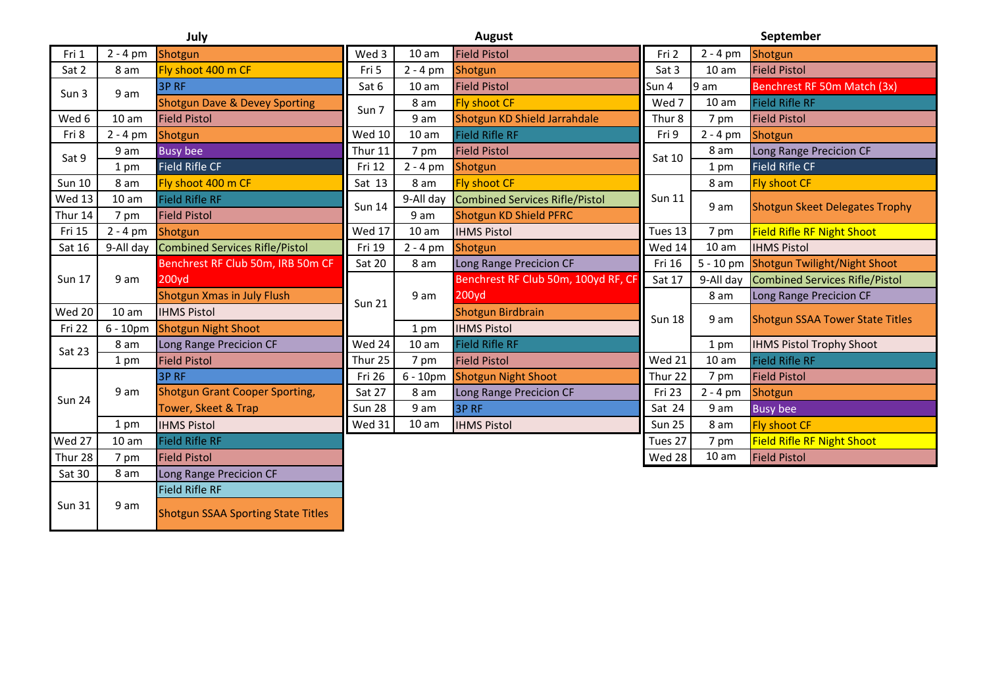| ×<br>۰. | ×<br>. . |  |
|---------|----------|--|

**September**

| July          |                  |                                           | August        |                  |                                       | September         |                  |                                        |
|---------------|------------------|-------------------------------------------|---------------|------------------|---------------------------------------|-------------------|------------------|----------------------------------------|
| Fri 1         | $2 - 4 pm$       | Shotgun                                   | Wed 3         | 10 <sub>am</sub> | <b>Field Pistol</b>                   | Fri 2             | $2 - 4 pm$       | Shotgun                                |
| Sat 2         | 8 am             | Fly shoot 400 m CF                        | Fri 5         | $2 - 4 pm$       | Shotgun                               | Sat 3             | 10 <sub>am</sub> | <b>Field Pistol</b>                    |
| Sun 3         | 9 am             | 3P RF                                     | Sat 6         | 10 <sub>am</sub> | <b>Field Pistol</b>                   | Sun 4             | 9 am             | Benchrest RF 50m Match (3x)            |
|               |                  | <b>Shotgun Dave &amp; Devey Sporting</b>  | Sun 7         | 8 am             | <b>Fly shoot CF</b>                   | Wed 7             | 10 <sub>am</sub> | <b>Field Rifle RF</b>                  |
| Wed 6         | 10 am            | <b>Field Pistol</b>                       |               | 9 am             | Shotgun KD Shield Jarrahdale          | Thur <sub>8</sub> | 7 pm             | <b>Field Pistol</b>                    |
| Fri 8         | $2 - 4 pm$       | Shotgun                                   | <b>Wed 10</b> | 10 <sub>am</sub> | <b>Field Rifle RF</b>                 | Fri 9             | $2 - 4$ pm       | Shotgun                                |
| Sat 9         | 9 am             | <b>Busy bee</b>                           | Thur 11       | 7 pm             | <b>Field Pistol</b>                   | Sat 10            | 8 am             | Long Range Precicion CF                |
|               | 1 pm             | <b>Field Rifle CF</b>                     | Fri 12        | $2 - 4$ pm       | Shotgun                               |                   | 1 pm             | <b>Field Rifle CF</b>                  |
| <b>Sun 10</b> | 8 am             | Fly shoot 400 m CF                        | Sat 13        | 8 am             | <b>Fly shoot CF</b>                   |                   | 8 am             | <b>Fly shoot CF</b>                    |
| Wed 13        | 10 <sub>am</sub> | <b>Field Rifle RF</b>                     | <b>Sun 14</b> | 9-All day        | <b>Combined Services Rifle/Pistol</b> | <b>Sun 11</b>     | 9 am             | <b>Shotgun Skeet Delegates Trophy</b>  |
| Thur 14       | 7 pm             | <b>Field Pistol</b>                       |               | 9 am             | Shotgun KD Shield PFRC                |                   |                  |                                        |
| Fri 15        | $2 - 4 pm$       | Shotgun                                   | Wed 17        | 10 <sub>am</sub> | <b>IHMS Pistol</b>                    | Tues 13           | 7 pm             | <b>Field Rifle RF Night Shoot</b>      |
| Sat 16        | 9-All day        | <b>Combined Services Rifle/Pistol</b>     | Fri 19        | $2 - 4 pm$       | Shotgun                               | Wed 14            | 10 am            | <b>IHMS Pistol</b>                     |
| <b>Sun 17</b> | 9 am             | Benchrest RF Club 50m, IRB 50m CF         | Sat 20        | 8 am             | Long Range Precicion CF               | Fri 16            | $5 - 10$ pm      | <b>Shotgun Twilight/Night Shoot</b>    |
|               |                  | 200yd                                     |               | 9 am             | Benchrest RF Club 50m, 100yd RF, CF   | Sat 17            | 9-All day        | <b>Combined Services Rifle/Pistol</b>  |
|               |                  | <b>Shotgun Xmas in July Flush</b>         | <b>Sun 21</b> |                  | 200yd                                 |                   | 8 am             | Long Range Precicion CF                |
| Wed 20        | 10 <sub>am</sub> | <b>IHMS Pistol</b>                        |               |                  | Shotgun Birdbrain                     | <b>Sun 18</b>     | 9 am             | <b>Shotgun SSAA Tower State Titles</b> |
| Fri 22        | $6 - 10pm$       | <b>Shotgun Night Shoot</b>                |               | 1 pm             | <b>IHMS Pistol</b>                    |                   |                  |                                        |
| Sat 23        | 8 am             | Long Range Precicion CF                   | Wed 24        | 10 <sub>am</sub> | <b>Field Rifle RF</b>                 |                   | 1 pm             | <b>IHMS Pistol Trophy Shoot</b>        |
|               | 1 pm             | <b>Field Pistol</b>                       | Thur 25       | 7 pm             | <b>Field Pistol</b>                   | Wed 21            | 10 <sub>am</sub> | <b>Field Rifle RF</b>                  |
|               | 9 am             | 3P RF                                     | Fri 26        | $6 - 10pm$       | <b>Shotgun Night Shoot</b>            | Thur 22           | 7 pm             | <b>Field Pistol</b>                    |
| <b>Sun 24</b> |                  | <b>Shotgun Grant Cooper Sporting,</b>     | Sat 27        | 8 am             | Long Range Precicion CF               | Fri 23            | $2 - 4 pm$       | Shotgun                                |
|               |                  | Tower, Skeet & Trap                       | <b>Sun 28</b> | 9 am             | 3P RF                                 | Sat 24            | 9 am             | <b>Busy bee</b>                        |
|               | 1 pm             | <b>IHMS Pistol</b>                        | Wed 31        | 10 <sub>am</sub> | <b>IHMS Pistol</b>                    | <b>Sun 25</b>     | 8 am             | <b>Fly shoot CF</b>                    |
| Wed 27        | 10 <sub>am</sub> | <b>Field Rifle RF</b>                     |               |                  |                                       | Tues 27           | 7 pm             | <b>Field Rifle RF Night Shoot</b>      |
| Thur 28       | 7 pm             | <b>Field Pistol</b>                       |               |                  |                                       | Wed 28            | 10 <sub>am</sub> | <b>Field Pistol</b>                    |
| Sat 30        | 8 am             | Long Range Precicion CF                   |               |                  |                                       |                   |                  |                                        |
|               |                  | <b>Field Rifle RF</b>                     |               |                  |                                       |                   |                  |                                        |
| <b>Sun 31</b> | 9 am             | <b>Shotgun SSAA Sporting State Titles</b> |               |                  |                                       |                   |                  |                                        |